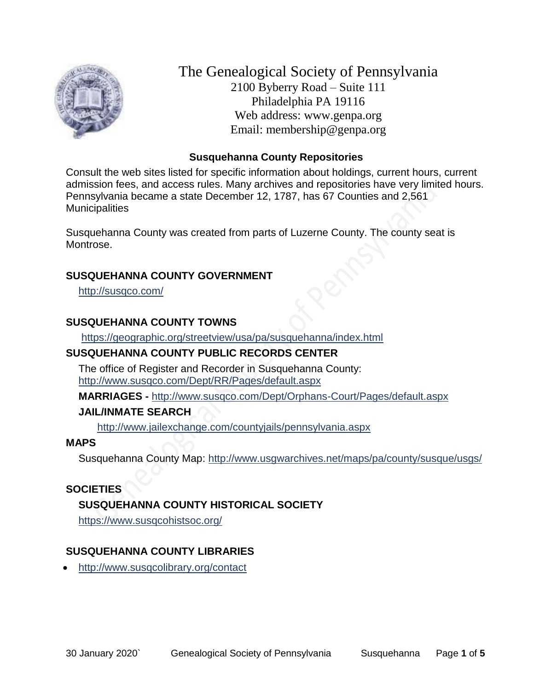

The Genealogical Society of Pennsylvania 2100 Byberry Road – Suite 111 Philadelphia PA 19116 Web address: www.genpa.org Email: membership@genpa.org

#### **Susquehanna County Repositories**

Consult the web sites listed for specific information about holdings, current hours, current admission fees, and access rules. Many archives and repositories have very limited hours. Pennsylvania became a state December 12, 1787, has 67 Counties and 2,561 **Municipalities** 

Susquehanna County was created from parts of Luzerne County. The county seat is Montrose.

#### **SUSQUEHANNA COUNTY GOVERNMENT**

<http://susqco.com/>

### **SUSQUEHANNA COUNTY TOWNS**

<https://geographic.org/streetview/usa/pa/susquehanna/index.html>

### **SUSQUEHANNA COUNTY PUBLIC RECORDS CENTER**

The office of Register and Recorder in Susquehanna County: <http://www.susqco.com/Dept/RR/Pages/default.aspx>

**MARRIAGES -** <http://www.susqco.com/Dept/Orphans-Court/Pages/default.aspx>

### **JAIL/INMATE SEARCH**

<http://www.jailexchange.com/countyjails/pennsylvania.aspx>

### **MAPS**

Susquehanna County Map:<http://www.usgwarchives.net/maps/pa/county/susque/usgs/>

### **SOCIETIES**

# **SUSQUEHANNA COUNTY HISTORICAL SOCIETY**

<https://www.susqcohistsoc.org/>

# **SUSQUEHANNA COUNTY LIBRARIES**

<http://www.susqcolibrary.org/contact>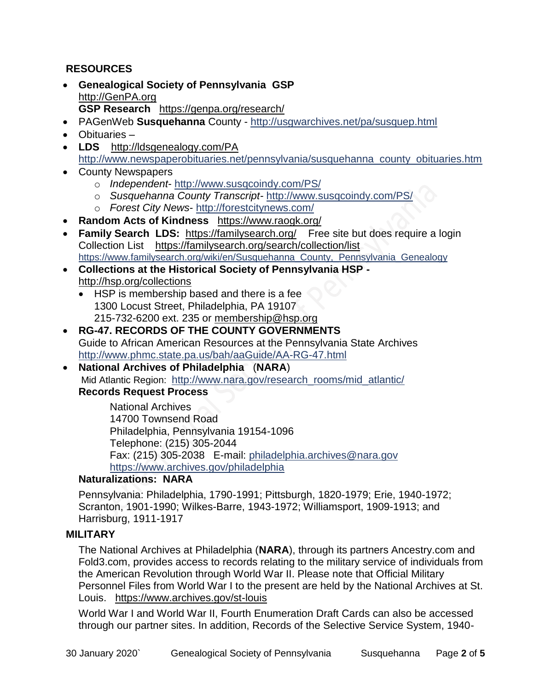### **RESOURCES**

- **Genealogical Society of Pennsylvania GSP** [http://GenPA.org](http://genpa.org/) **GSP Research** <https://genpa.org/research/>
- PAGenWeb **Susquehanna** County <http://usgwarchives.net/pa/susquep.html>
- Obituaries –
- LDS <http://ldsgenealogy.com/PA> [http://www.newspaperobituaries.net/pennsylvania/susquehanna\\_county\\_obituaries.htm](http://www.newspaperobituaries.net/pennsylvania/susquehanna_county_obituaries.htm)
- County Newspapers
	- o *Independent* <http://www.susqcoindy.com/PS/>
	- o *Susquehanna County Transcript-* <http://www.susqcoindy.com/PS/>
	- o *Forest City News* <http://forestcitynews.com/>
- **Random Acts of Kindness** <https://www.raogk.org/>
- **Family Search LDS:** <https://familysearch.org/>Free site but does require a login Collection List <https://familysearch.org/search/collection/list> [https://www.familysearch.org/wiki/en/Susquehanna\\_County,\\_Pennsylvania\\_Genealogy](https://www.familysearch.org/wiki/en/Susquehanna_County,_Pennsylvania_Genealogy)
- **Collections at the Historical Society of Pennsylvania HSP**  <http://hsp.org/collections>
	- HSP is membership based and there is a fee 1300 Locust Street, Philadelphia, PA 19107 215-732-6200 ext. 235 or [membership@hsp.org](mailto:membership@hsp.org)
- **RG-47. RECORDS OF THE COUNTY GOVERNMENTS** Guide to African American Resources at the Pennsylvania State Archives <http://www.phmc.state.pa.us/bah/aaGuide/AA-RG-47.html>
- **National Archives of Philadelphia** (**NARA**) Mid Atlantic Region: [http://www.nara.gov/research\\_rooms/mid\\_atlantic/](http://www.nara.gov/research_rooms/mid_atlantic/) **Records Request Process**

National Archives 14700 Townsend Road Philadelphia, Pennsylvania 19154-1096 Telephone: (215) 305-2044 Fax: (215) 305-2038 E-mail: [philadelphia.archives@nara.gov](mailto:philadelphia.archives@nara.gov) <https://www.archives.gov/philadelphia>

# **Naturalizations: NARA**

Pennsylvania: Philadelphia, 1790-1991; Pittsburgh, 1820-1979; Erie, 1940-1972; Scranton, 1901-1990; Wilkes-Barre, 1943-1972; Williamsport, 1909-1913; and Harrisburg, 1911-1917

### **MILITARY**

The National Archives at Philadelphia (**NARA**), through its partners Ancestry.com and Fold3.com, provides access to records relating to the military service of individuals from the American Revolution through World War II. Please note that Official Military Personnel Files from World War I to the present are held by the National Archives at St. Louis. <https://www.archives.gov/st-louis>

World War I and World War II, Fourth Enumeration Draft Cards can also be accessed through our partner sites. In addition, Records of the Selective Service System, 1940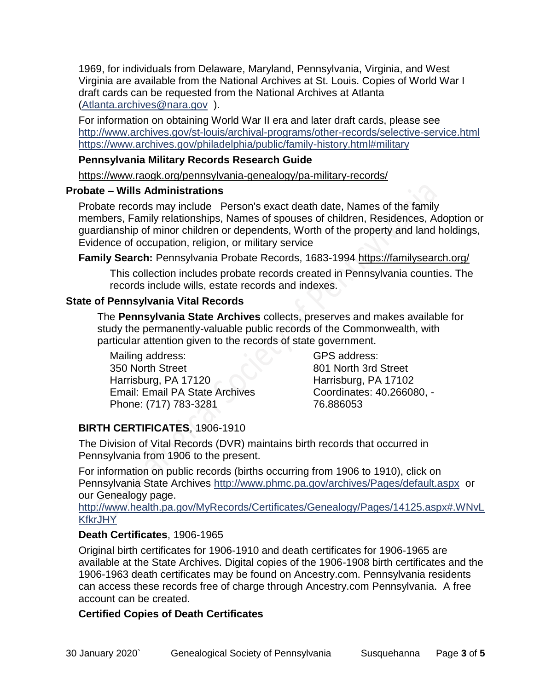1969, for individuals from Delaware, Maryland, Pennsylvania, Virginia, and West Virginia are available from the National Archives at St. Louis. Copies of World War I draft cards can be requested from the National Archives at Atlanta [\(Atlanta.archives@nara.gov](mailto:Atlanta.archives@nara.gov) ).

For information on obtaining World War II era and later draft cards, please see <http://www.archives.gov/st-louis/archival-programs/other-records/selective-service.html> <https://www.archives.gov/philadelphia/public/family-history.html#military>

#### **Pennsylvania Military Records Research Guide**

<https://www.raogk.org/pennsylvania-genealogy/pa-military-records/>

#### **Probate – Wills Administrations**

Probate records may include Person's exact death date, Names of the family members, Family relationships, Names of spouses of children, Residences, Adoption or guardianship of minor children or dependents, Worth of the property and land holdings, Evidence of occupation, religion, or military service

**Family Search:** Pennsylvania Probate Records, 1683-1994 <https://familysearch.org/>

This collection includes probate records created in Pennsylvania counties. The records include wills, estate records and indexes.

### **State of Pennsylvania Vital Records**

The **Pennsylvania State Archives** collects, preserves and makes available for study the permanently-valuable public records of the Commonwealth, with particular attention given to the records of state government.

Mailing address: 350 North Street Harrisburg, PA 17120 Email: Email PA State Archives Phone: (717) 783-3281

GPS address: 801 North 3rd Street Harrisburg, PA 17102 Coordinates: 40.266080, - 76.886053

# **BIRTH CERTIFICATES**, 1906-1910

The Division of Vital Records (DVR) maintains birth records that occurred in Pennsylvania from 1906 to the present.

For information on public records (births occurring from 1906 to 1910), click on Pennsylvania State Archives <http://www.phmc.pa.gov/archives/Pages/default.aspx>or our Genealogy page.

[http://www.health.pa.gov/MyRecords/Certificates/Genealogy/Pages/14125.aspx#.WNvL](http://www.health.pa.gov/MyRecords/Certificates/Genealogy/Pages/14125.aspx#.WNvLKfkrJHY) **[KfkrJHY](http://www.health.pa.gov/MyRecords/Certificates/Genealogy/Pages/14125.aspx#.WNvLKfkrJHY)** 

### **Death Certificates**, 1906-1965

Original birth certificates for 1906-1910 and death certificates for 1906-1965 are available at the State Archives. Digital copies of the 1906-1908 birth certificates and the 1906-1963 death certificates may be found on Ancestry.com. Pennsylvania residents can access these records free of charge through Ancestry.com Pennsylvania. A free account can be created.

# **Certified Copies of Death Certificates**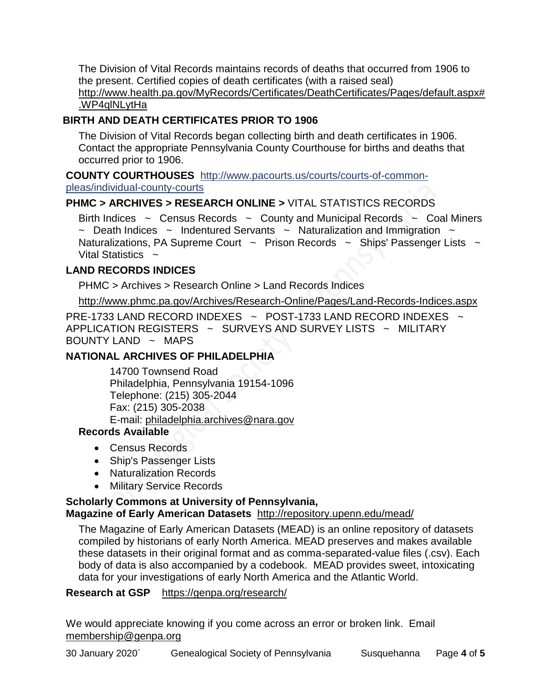The Division of Vital Records maintains records of deaths that occurred from 1906 to the present. Certified copies of death certificates (with a raised seal) http://www.health.pa.gov/MyRecords/Certificates/DeathCertificates/Pages/default.aspx# .WP4qlNLytHa

# **BIRTH AND DEATH CERTIFICATES PRIOR TO 1906**

The Division of Vital Records began collecting birth and death certificates in 1906. Contact the appropriate Pennsylvania County Courthouse for births and deaths that occurred prior to 1906.

**COUNTY COURTHOUSES** [http://www.pacourts.us/courts/courts-of-common](http://www.pacourts.us/courts/courts-of-common-pleas/individual-county-courts)[pleas/individual-county-courts](http://www.pacourts.us/courts/courts-of-common-pleas/individual-county-courts)

# **PHMC > ARCHIVES > RESEARCH ONLINE >** [VITAL STATISTICS RECORDS](http://www.phmc.pa.gov/Archives/Research-Online/Pages/Vital-Statistics.aspx)

Birth Indices  $\sim$  Census Records  $\sim$  County and Municipal Records  $\sim$  Coal Miners  $\sim$  Death Indices  $\sim$  Indentured Servants  $\sim$  Naturalization and Immigration  $\sim$ Naturalizations, PA Supreme Court  $\sim$  Prison Records  $\sim$  Ships' Passenger Lists  $\sim$ Vital Statistics  $\sim$ 

### **LAND RECORDS INDICES**

PHMC > Archives > Research Online > Land Records Indices

<http://www.phmc.pa.gov/Archives/Research-Online/Pages/Land-Records-Indices.aspx>

PRE-1733 LAND RECORD INDEXES ~ POST-1733 LAND RECORD INDEXES ~ APPLICATION REGISTERS  $\sim$  SURVEYS AND SURVEY LISTS  $\sim$  MILITARY BOUNTY LAND  $\sim$  MAPS

### **NATIONAL ARCHIVES OF PHILADELPHIA**

14700 Townsend Road Philadelphia, Pennsylvania 19154-1096 Telephone: (215) 305-2044 Fax: (215) 305-2038 E-mail: [philadelphia.archives@nara.gov](mailto:philadelphia.archives@nara.gov)

### **Records Available**

- Census Records
- Ship's Passenger Lists
- Naturalization Records
- Military Service Records

# **Scholarly Commons at University of Pennsylvania,**

### **Magazine of Early American Datasets** <http://repository.upenn.edu/mead/>

The Magazine of Early American Datasets (MEAD) is an online repository of datasets compiled by historians of early North America. MEAD preserves and makes available these datasets in their original format and as comma-separated-value files (.csv). Each body of data is also accompanied by a codebook. MEAD provides sweet, intoxicating data for your investigations of early North America and the Atlantic World.

### **Research at GSP** <https://genpa.org/research/>

We would appreciate knowing if you come across an error or broken link. Email [membership@genpa.org](mailto:membership@genpa.org)